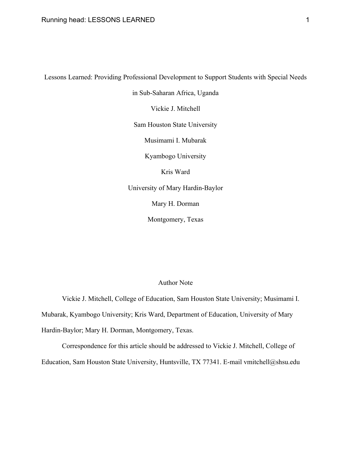Lessons Learned: Providing Professional Development to Support Students with Special Needs

in Sub-Saharan Africa, Uganda

Vickie J. Mitchell

Sam Houston State University

Musimami I. Mubarak

Kyambogo University

Kris Ward

University of Mary Hardin-Baylor

Mary H. Dorman

Montgomery, Texas

## Author Note

Vickie J. Mitchell, College of Education, Sam Houston State University; Musimami I. Mubarak, Kyambogo University; Kris Ward, Department of Education, University of Mary Hardin-Baylor; Mary H. Dorman, Montgomery, Texas.

Correspondence for this article should be addressed to Vickie J. Mitchell, College of Education, Sam Houston State University, Huntsville, TX 77341. E-mail vmitchell@shsu.edu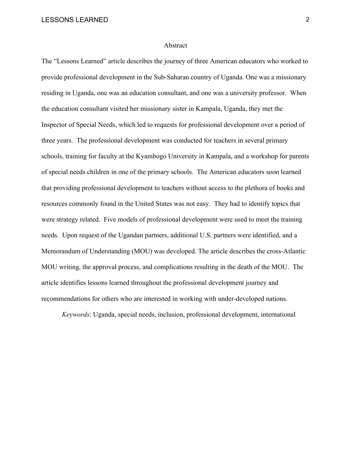#### Abstract

The "Lessons Learned" article describes the journey of three American educators who worked to provide professional development in the Sub-Saharan country of Uganda. One was a missionary residing in Uganda, one was an education consultant, and one was a university professor. When the education consultant visited her missionary sister in Kampala, Uganda, they met the Inspector of Special Needs, which led to requests for professional development over a period of three years. The professional development was conducted for teachers in several primary schools, training for faculty at the Kyambogo University in Kampala, and a workshop for parents of special needs children in one of the primary schools. The American educators soon learned that providing professional development to teachers without access to the plethora of books and resources commonly found in the United States was not easy. They had to identify topics that were strategy related. Five models of professional development were used to meet the training needs. Upon request of the Ugandan partners, additional U.S. partners were identified, and a Memorandum of Understanding (MOU) was developed. The article describes the cross-Atlantic MOU writing, the approval process, and complications resulting in the death of the MOU. The article identifies lessons learned throughout the professional development journey and recommendations for others who are interested in working with under-developed nations.

*Keywords*: Uganda, special needs, inclusion, professional development, international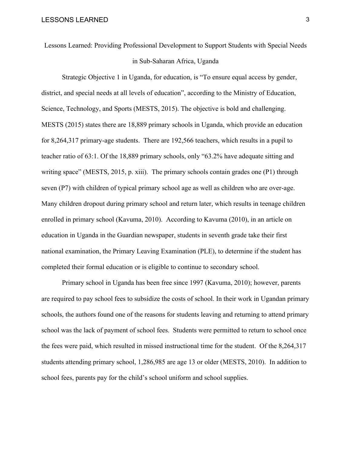Lessons Learned: Providing Professional Development to Support Students with Special Needs in Sub-Saharan Africa, Uganda

Strategic Objective 1 in Uganda, for education, is "To ensure equal access by gender, district, and special needs at all levels of education", according to the Ministry of Education, Science, Technology, and Sports (MESTS, 2015). The objective is bold and challenging. MESTS (2015) states there are 18,889 primary schools in Uganda, which provide an education for 8,264,317 primary-age students. There are 192,566 teachers, which results in a pupil to teacher ratio of 63:1. Of the 18,889 primary schools, only "63.2% have adequate sitting and writing space" (MESTS, 2015, p. xiii). The primary schools contain grades one (P1) through seven (P7) with children of typical primary school age as well as children who are over-age. Many children dropout during primary school and return later, which results in teenage children enrolled in primary school (Kavuma, 2010). According to Kavuma (2010), in an article on education in Uganda in the Guardian newspaper, students in seventh grade take their first national examination, the Primary Leaving Examination (PLE), to determine if the student has completed their formal education or is eligible to continue to secondary school.

Primary school in Uganda has been free since 1997 (Kavuma, 2010); however, parents are required to pay school fees to subsidize the costs of school. In their work in Ugandan primary schools, the authors found one of the reasons for students leaving and returning to attend primary school was the lack of payment of school fees. Students were permitted to return to school once the fees were paid, which resulted in missed instructional time for the student. Of the 8,264,317 students attending primary school, 1,286,985 are age 13 or older (MESTS, 2010). In addition to school fees, parents pay for the child's school uniform and school supplies.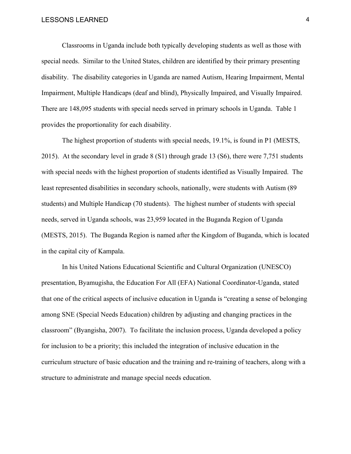Classrooms in Uganda include both typically developing students as well as those with special needs. Similar to the United States, children are identified by their primary presenting disability. The disability categories in Uganda are named Autism, Hearing Impairment, Mental Impairment, Multiple Handicaps (deaf and blind), Physically Impaired, and Visually Impaired. There are 148,095 students with special needs served in primary schools in Uganda. Table 1 provides the proportionality for each disability.

The highest proportion of students with special needs, 19.1%, is found in P1 (MESTS, 2015). At the secondary level in grade 8 (S1) through grade 13 (S6), there were 7,751 students with special needs with the highest proportion of students identified as Visually Impaired. The least represented disabilities in secondary schools, nationally, were students with Autism (89 students) and Multiple Handicap (70 students). The highest number of students with special needs, served in Uganda schools, was 23,959 located in the Buganda Region of Uganda (MESTS, 2015). The Buganda Region is named after the Kingdom of Buganda, which is located in the capital city of Kampala.

In his United Nations Educational Scientific and Cultural Organization (UNESCO) presentation, Byamugisha, the Education For All (EFA) National Coordinator-Uganda, stated that one of the critical aspects of inclusive education in Uganda is "creating a sense of belonging among SNE (Special Needs Education) children by adjusting and changing practices in the classroom" (Byangisha, 2007). To facilitate the inclusion process, Uganda developed a policy for inclusion to be a priority; this included the integration of inclusive education in the curriculum structure of basic education and the training and re-training of teachers, along with a structure to administrate and manage special needs education.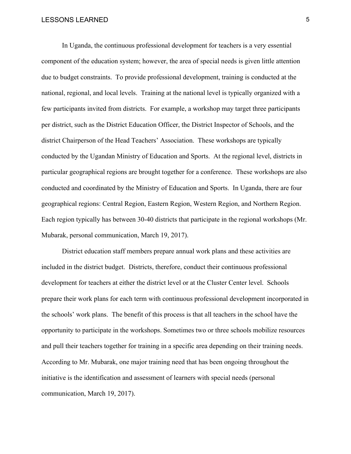In Uganda, the continuous professional development for teachers is a very essential component of the education system; however, the area of special needs is given little attention due to budget constraints. To provide professional development, training is conducted at the national, regional, and local levels. Training at the national level is typically organized with a few participants invited from districts. For example, a workshop may target three participants per district, such as the District Education Officer, the District Inspector of Schools, and the district Chairperson of the Head Teachers' Association. These workshops are typically conducted by the Ugandan Ministry of Education and Sports. At the regional level, districts in particular geographical regions are brought together for a conference. These workshops are also conducted and coordinated by the Ministry of Education and Sports. In Uganda, there are four geographical regions: Central Region, Eastern Region, Western Region, and Northern Region. Each region typically has between 30-40 districts that participate in the regional workshops (Mr. Mubarak, personal communication, March 19, 2017).

District education staff members prepare annual work plans and these activities are included in the district budget. Districts, therefore, conduct their continuous professional development for teachers at either the district level or at the Cluster Center level. Schools prepare their work plans for each term with continuous professional development incorporated in the schools' work plans. The benefit of this process is that all teachers in the school have the opportunity to participate in the workshops. Sometimes two or three schools mobilize resources and pull their teachers together for training in a specific area depending on their training needs. According to Mr. Mubarak, one major training need that has been ongoing throughout the initiative is the identification and assessment of learners with special needs (personal communication, March 19, 2017).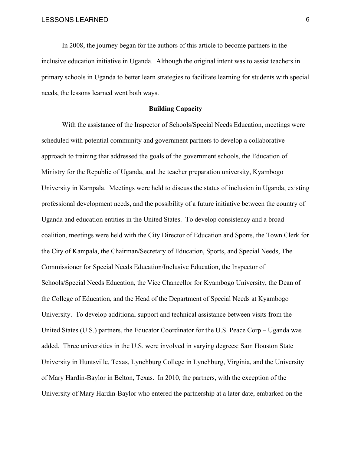In 2008, the journey began for the authors of this article to become partners in the inclusive education initiative in Uganda. Although the original intent was to assist teachers in primary schools in Uganda to better learn strategies to facilitate learning for students with special needs, the lessons learned went both ways.

### **Building Capacity**

With the assistance of the Inspector of Schools/Special Needs Education, meetings were scheduled with potential community and government partners to develop a collaborative approach to training that addressed the goals of the government schools, the Education of Ministry for the Republic of Uganda, and the teacher preparation university, Kyambogo University in Kampala. Meetings were held to discuss the status of inclusion in Uganda, existing professional development needs, and the possibility of a future initiative between the country of Uganda and education entities in the United States. To develop consistency and a broad coalition, meetings were held with the City Director of Education and Sports, the Town Clerk for the City of Kampala, the Chairman/Secretary of Education, Sports, and Special Needs, The Commissioner for Special Needs Education/Inclusive Education, the Inspector of Schools/Special Needs Education, the Vice Chancellor for Kyambogo University, the Dean of the College of Education, and the Head of the Department of Special Needs at Kyambogo University. To develop additional support and technical assistance between visits from the United States (U.S.) partners, the Educator Coordinator for the U.S. Peace Corp – Uganda was added. Three universities in the U.S. were involved in varying degrees: Sam Houston State University in Huntsville, Texas, Lynchburg College in Lynchburg, Virginia, and the University of Mary Hardin-Baylor in Belton, Texas. In 2010, the partners, with the exception of the University of Mary Hardin-Baylor who entered the partnership at a later date, embarked on the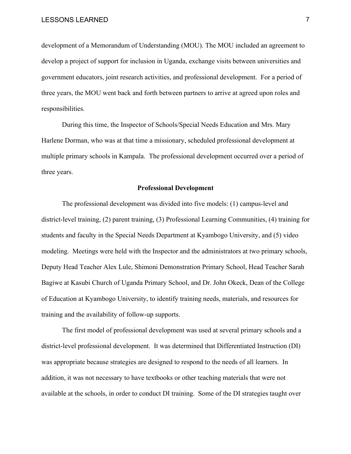development of a Memorandum of Understanding (MOU). The MOU included an agreement to develop a project of support for inclusion in Uganda, exchange visits between universities and government educators, joint research activities, and professional development. For a period of three years, the MOU went back and forth between partners to arrive at agreed upon roles and responsibilities.

During this time, the Inspector of Schools/Special Needs Education and Mrs. Mary Harlene Dorman, who was at that time a missionary, scheduled professional development at multiple primary schools in Kampala. The professional development occurred over a period of three years.

#### **Professional Development**

The professional development was divided into five models: (1) campus-level and district-level training, (2) parent training, (3) Professional Learning Communities, (4) training for students and faculty in the Special Needs Department at Kyambogo University, and (5) video modeling. Meetings were held with the Inspector and the administrators at two primary schools, Deputy Head Teacher Alex Lule, Shimoni Demonstration Primary School, Head Teacher Sarah Bagiwe at Kasubi Church of Uganda Primary School, and Dr. John Okeck, Dean of the College of Education at Kyambogo University, to identify training needs, materials, and resources for training and the availability of follow-up supports.

The first model of professional development was used at several primary schools and a district-level professional development. It was determined that Differentiated Instruction (DI) was appropriate because strategies are designed to respond to the needs of all learners. In addition, it was not necessary to have textbooks or other teaching materials that were not available at the schools, in order to conduct DI training. Some of the DI strategies taught over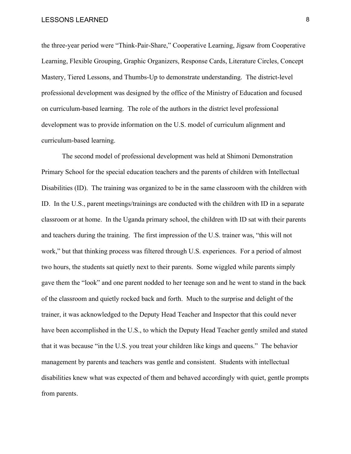the three-year period were "Think-Pair-Share," Cooperative Learning, Jigsaw from Cooperative Learning, Flexible Grouping, Graphic Organizers, Response Cards, Literature Circles, Concept Mastery, Tiered Lessons, and Thumbs-Up to demonstrate understanding. The district-level professional development was designed by the office of the Ministry of Education and focused on curriculum-based learning. The role of the authors in the district level professional development was to provide information on the U.S. model of curriculum alignment and curriculum-based learning.

The second model of professional development was held at Shimoni Demonstration Primary School for the special education teachers and the parents of children with Intellectual Disabilities (ID). The training was organized to be in the same classroom with the children with ID. In the U.S., parent meetings/trainings are conducted with the children with ID in a separate classroom or at home. In the Uganda primary school, the children with ID sat with their parents and teachers during the training. The first impression of the U.S. trainer was, "this will not work," but that thinking process was filtered through U.S. experiences. For a period of almost two hours, the students sat quietly next to their parents. Some wiggled while parents simply gave them the "look" and one parent nodded to her teenage son and he went to stand in the back of the classroom and quietly rocked back and forth. Much to the surprise and delight of the trainer, it was acknowledged to the Deputy Head Teacher and Inspector that this could never have been accomplished in the U.S., to which the Deputy Head Teacher gently smiled and stated that it was because "in the U.S. you treat your children like kings and queens." The behavior management by parents and teachers was gentle and consistent. Students with intellectual disabilities knew what was expected of them and behaved accordingly with quiet, gentle prompts from parents.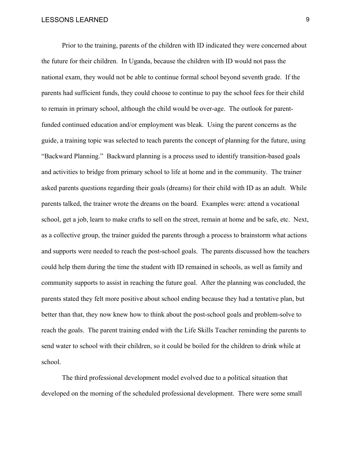Prior to the training, parents of the children with ID indicated they were concerned about the future for their children. In Uganda, because the children with ID would not pass the national exam, they would not be able to continue formal school beyond seventh grade. If the parents had sufficient funds, they could choose to continue to pay the school fees for their child to remain in primary school, although the child would be over-age. The outlook for parentfunded continued education and/or employment was bleak. Using the parent concerns as the guide, a training topic was selected to teach parents the concept of planning for the future, using "Backward Planning." Backward planning is a process used to identify transition-based goals and activities to bridge from primary school to life at home and in the community. The trainer asked parents questions regarding their goals (dreams) for their child with ID as an adult. While parents talked, the trainer wrote the dreams on the board. Examples were: attend a vocational school, get a job, learn to make crafts to sell on the street, remain at home and be safe, etc. Next, as a collective group, the trainer guided the parents through a process to brainstorm what actions and supports were needed to reach the post-school goals. The parents discussed how the teachers could help them during the time the student with ID remained in schools, as well as family and community supports to assist in reaching the future goal. After the planning was concluded, the parents stated they felt more positive about school ending because they had a tentative plan, but better than that, they now knew how to think about the post-school goals and problem-solve to reach the goals. The parent training ended with the Life Skills Teacher reminding the parents to send water to school with their children, so it could be boiled for the children to drink while at school.

The third professional development model evolved due to a political situation that developed on the morning of the scheduled professional development. There were some small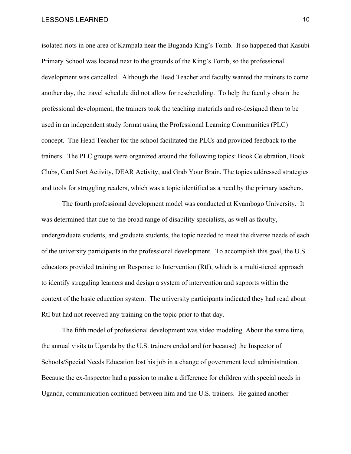isolated riots in one area of Kampala near the Buganda King's Tomb. It so happened that Kasubi Primary School was located next to the grounds of the King's Tomb, so the professional development was cancelled. Although the Head Teacher and faculty wanted the trainers to come another day, the travel schedule did not allow for rescheduling. To help the faculty obtain the professional development, the trainers took the teaching materials and re-designed them to be used in an independent study format using the Professional Learning Communities (PLC) concept. The Head Teacher for the school facilitated the PLCs and provided feedback to the trainers. The PLC groups were organized around the following topics: Book Celebration, Book Clubs, Card Sort Activity, DEAR Activity, and Grab Your Brain. The topics addressed strategies and tools for struggling readers, which was a topic identified as a need by the primary teachers.

The fourth professional development model was conducted at Kyambogo University. It was determined that due to the broad range of disability specialists, as well as faculty, undergraduate students, and graduate students, the topic needed to meet the diverse needs of each of the university participants in the professional development. To accomplish this goal, the U.S. educators provided training on Response to Intervention (RtI), which is a multi-tiered approach to identify struggling learners and design a system of intervention and supports within the context of the basic education system. The university participants indicated they had read about RtI but had not received any training on the topic prior to that day.

The fifth model of professional development was video modeling. About the same time, the annual visits to Uganda by the U.S. trainers ended and (or because) the Inspector of Schools/Special Needs Education lost his job in a change of government level administration. Because the ex-Inspector had a passion to make a difference for children with special needs in Uganda, communication continued between him and the U.S. trainers. He gained another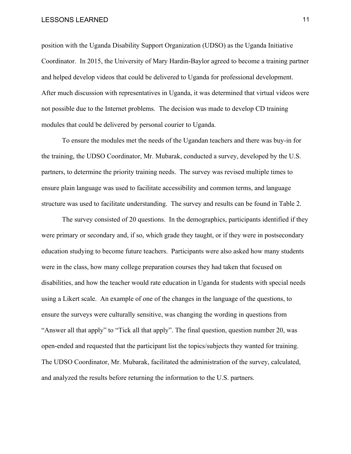position with the Uganda Disability Support Organization (UDSO) as the Uganda Initiative Coordinator. In 2015, the University of Mary Hardin-Baylor agreed to become a training partner and helped develop videos that could be delivered to Uganda for professional development. After much discussion with representatives in Uganda, it was determined that virtual videos were not possible due to the Internet problems. The decision was made to develop CD training modules that could be delivered by personal courier to Uganda.

To ensure the modules met the needs of the Ugandan teachers and there was buy-in for the training, the UDSO Coordinator, Mr. Mubarak, conducted a survey, developed by the U.S. partners, to determine the priority training needs. The survey was revised multiple times to ensure plain language was used to facilitate accessibility and common terms, and language structure was used to facilitate understanding. The survey and results can be found in Table 2.

The survey consisted of 20 questions. In the demographics, participants identified if they were primary or secondary and, if so, which grade they taught, or if they were in postsecondary education studying to become future teachers. Participants were also asked how many students were in the class, how many college preparation courses they had taken that focused on disabilities, and how the teacher would rate education in Uganda for students with special needs using a Likert scale. An example of one of the changes in the language of the questions, to ensure the surveys were culturally sensitive, was changing the wording in questions from "Answer all that apply" to "Tick all that apply". The final question, question number 20, was open-ended and requested that the participant list the topics/subjects they wanted for training. The UDSO Coordinator, Mr. Mubarak, facilitated the administration of the survey, calculated, and analyzed the results before returning the information to the U.S. partners.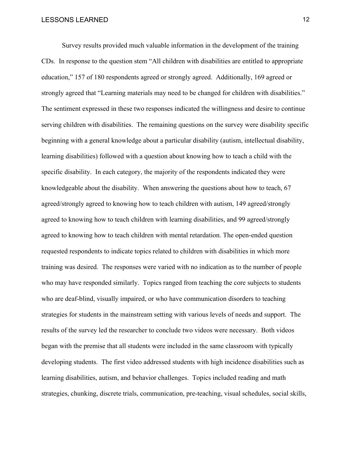Survey results provided much valuable information in the development of the training CDs. In response to the question stem "All children with disabilities are entitled to appropriate education," 157 of 180 respondents agreed or strongly agreed. Additionally, 169 agreed or strongly agreed that "Learning materials may need to be changed for children with disabilities." The sentiment expressed in these two responses indicated the willingness and desire to continue serving children with disabilities. The remaining questions on the survey were disability specific beginning with a general knowledge about a particular disability (autism, intellectual disability, learning disabilities) followed with a question about knowing how to teach a child with the specific disability. In each category, the majority of the respondents indicated they were knowledgeable about the disability. When answering the questions about how to teach, 67 agreed/strongly agreed to knowing how to teach children with autism, 149 agreed/strongly agreed to knowing how to teach children with learning disabilities, and 99 agreed/strongly agreed to knowing how to teach children with mental retardation. The open-ended question requested respondents to indicate topics related to children with disabilities in which more training was desired. The responses were varied with no indication as to the number of people who may have responded similarly. Topics ranged from teaching the core subjects to students who are deaf-blind, visually impaired, or who have communication disorders to teaching strategies for students in the mainstream setting with various levels of needs and support. The results of the survey led the researcher to conclude two videos were necessary. Both videos began with the premise that all students were included in the same classroom with typically developing students. The first video addressed students with high incidence disabilities such as learning disabilities, autism, and behavior challenges. Topics included reading and math strategies, chunking, discrete trials, communication, pre-teaching, visual schedules, social skills,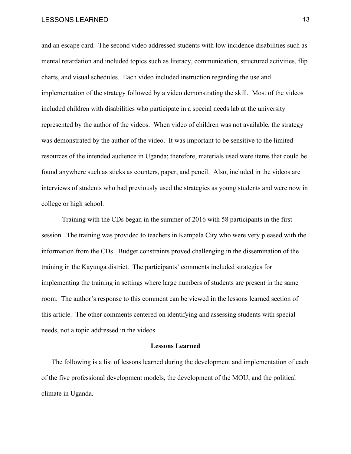and an escape card. The second video addressed students with low incidence disabilities such as mental retardation and included topics such as literacy, communication, structured activities, flip charts, and visual schedules. Each video included instruction regarding the use and implementation of the strategy followed by a video demonstrating the skill. Most of the videos included children with disabilities who participate in a special needs lab at the university represented by the author of the videos. When video of children was not available, the strategy was demonstrated by the author of the video. It was important to be sensitive to the limited resources of the intended audience in Uganda; therefore, materials used were items that could be found anywhere such as sticks as counters, paper, and pencil. Also, included in the videos are interviews of students who had previously used the strategies as young students and were now in college or high school.

Training with the CDs began in the summer of 2016 with 58 participants in the first session. The training was provided to teachers in Kampala City who were very pleased with the information from the CDs. Budget constraints proved challenging in the dissemination of the training in the Kayunga district. The participants' comments included strategies for implementing the training in settings where large numbers of students are present in the same room. The author's response to this comment can be viewed in the lessons learned section of this article. The other comments centered on identifying and assessing students with special needs, not a topic addressed in the videos.

#### **Lessons Learned**

The following is a list of lessons learned during the development and implementation of each of the five professional development models, the development of the MOU, and the political climate in Uganda.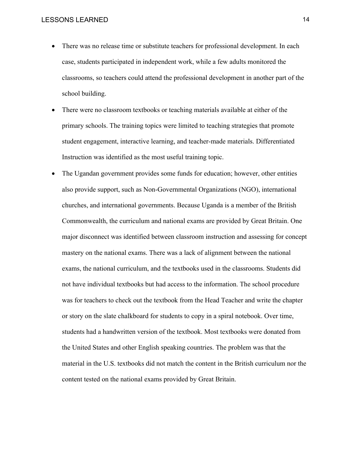- There was no release time or substitute teachers for professional development. In each case, students participated in independent work, while a few adults monitored the classrooms, so teachers could attend the professional development in another part of the school building.
- There were no classroom textbooks or teaching materials available at either of the primary schools. The training topics were limited to teaching strategies that promote student engagement, interactive learning, and teacher-made materials. Differentiated Instruction was identified as the most useful training topic.
- The Ugandan government provides some funds for education; however, other entities also provide support, such as Non-Governmental Organizations (NGO), international churches, and international governments. Because Uganda is a member of the British Commonwealth, the curriculum and national exams are provided by Great Britain. One major disconnect was identified between classroom instruction and assessing for concept mastery on the national exams. There was a lack of alignment between the national exams, the national curriculum, and the textbooks used in the classrooms. Students did not have individual textbooks but had access to the information. The school procedure was for teachers to check out the textbook from the Head Teacher and write the chapter or story on the slate chalkboard for students to copy in a spiral notebook. Over time, students had a handwritten version of the textbook. Most textbooks were donated from the United States and other English speaking countries. The problem was that the material in the U.S. textbooks did not match the content in the British curriculum nor the content tested on the national exams provided by Great Britain.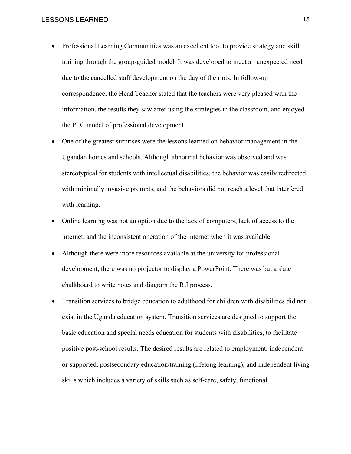- Professional Learning Communities was an excellent tool to provide strategy and skill training through the group-guided model. It was developed to meet an unexpected need due to the cancelled staff development on the day of the riots. In follow-up correspondence, the Head Teacher stated that the teachers were very pleased with the information, the results they saw after using the strategies in the classroom, and enjoyed the PLC model of professional development.
- One of the greatest surprises were the lessons learned on behavior management in the Ugandan homes and schools. Although abnormal behavior was observed and was stereotypical for students with intellectual disabilities, the behavior was easily redirected with minimally invasive prompts, and the behaviors did not reach a level that interfered with learning.
- Online learning was not an option due to the lack of computers, lack of access to the internet, and the inconsistent operation of the internet when it was available.
- Although there were more resources available at the university for professional development, there was no projector to display a PowerPoint. There was but a slate chalkboard to write notes and diagram the RtI process.
- Transition services to bridge education to adulthood for children with disabilities did not exist in the Uganda education system. Transition services are designed to support the basic education and special needs education for students with disabilities, to facilitate positive post-school results. The desired results are related to employment, independent or supported, postsecondary education/training (lifelong learning), and independent living skills which includes a variety of skills such as self-care, safety, functional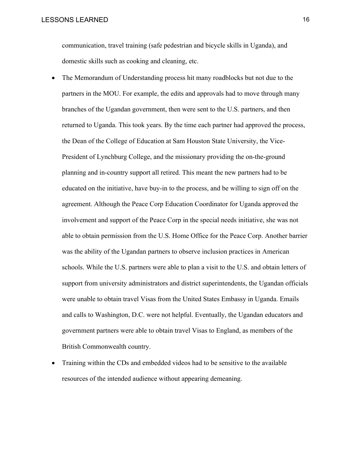communication, travel training (safe pedestrian and bicycle skills in Uganda), and domestic skills such as cooking and cleaning, etc.

- The Memorandum of Understanding process hit many roadblocks but not due to the partners in the MOU. For example, the edits and approvals had to move through many branches of the Ugandan government, then were sent to the U.S. partners, and then returned to Uganda. This took years. By the time each partner had approved the process, the Dean of the College of Education at Sam Houston State University, the Vice-President of Lynchburg College, and the missionary providing the on-the-ground planning and in-country support all retired. This meant the new partners had to be educated on the initiative, have buy-in to the process, and be willing to sign off on the agreement. Although the Peace Corp Education Coordinator for Uganda approved the involvement and support of the Peace Corp in the special needs initiative, she was not able to obtain permission from the U.S. Home Office for the Peace Corp. Another barrier was the ability of the Ugandan partners to observe inclusion practices in American schools. While the U.S. partners were able to plan a visit to the U.S. and obtain letters of support from university administrators and district superintendents, the Ugandan officials were unable to obtain travel Visas from the United States Embassy in Uganda. Emails and calls to Washington, D.C. were not helpful. Eventually, the Ugandan educators and government partners were able to obtain travel Visas to England, as members of the British Commonwealth country.
- Training within the CDs and embedded videos had to be sensitive to the available resources of the intended audience without appearing demeaning.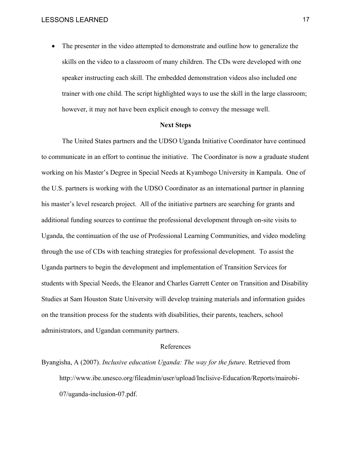• The presenter in the video attempted to demonstrate and outline how to generalize the skills on the video to a classroom of many children. The CDs were developed with one speaker instructing each skill. The embedded demonstration videos also included one trainer with one child. The script highlighted ways to use the skill in the large classroom; however, it may not have been explicit enough to convey the message well.

#### **Next Steps**

The United States partners and the UDSO Uganda Initiative Coordinator have continued to communicate in an effort to continue the initiative. The Coordinator is now a graduate student working on his Master's Degree in Special Needs at Kyambogo University in Kampala. One of the U.S. partners is working with the UDSO Coordinator as an international partner in planning his master's level research project. All of the initiative partners are searching for grants and additional funding sources to continue the professional development through on-site visits to Uganda, the continuation of the use of Professional Learning Communities, and video modeling through the use of CDs with teaching strategies for professional development. To assist the Uganda partners to begin the development and implementation of Transition Services for students with Special Needs, the Eleanor and Charles Garrett Center on Transition and Disability Studies at Sam Houston State University will develop training materials and information guides on the transition process for the students with disabilities, their parents, teachers, school administrators, and Ugandan community partners.

#### References

Byangisha, A (2007). *Inclusive education Uganda: The way for the future.* Retrieved from http://www.ibe.unesco.org/fileadmin/user/upload/Inclisive-Education/Reports/mairobi-07/uganda-inclusion-07.pdf.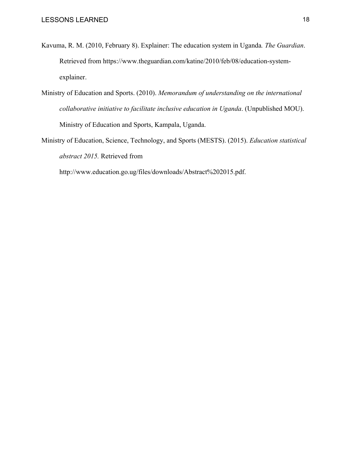- Kavuma, R. M. (2010, February 8). Explainer: The education system in Uganda*. The Guardian*. Retrieved from https://www.theguardian.com/katine/2010/feb/08/education-systemexplainer.
- Ministry of Education and Sports. (2010). *Memorandum of understanding on the international collaborative initiative to facilitate inclusive education in Uganda*. (Unpublished MOU). Ministry of Education and Sports, Kampala, Uganda.
- Ministry of Education, Science, Technology, and Sports (MESTS). (2015). *Education statistical abstract 2015.* Retrieved from

http://www.education.go.ug/files/downloads/Abstract%202015.pdf.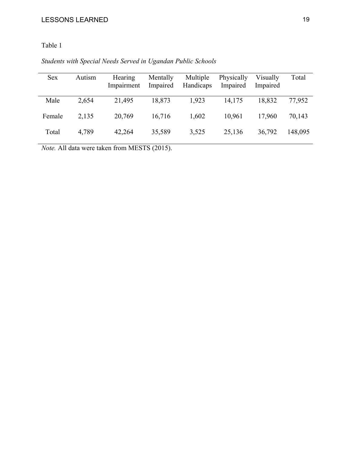# Table 1

# *Students with Special Needs Served in Ugandan Public Schools*

| <b>Sex</b> | Autism | Hearing<br>Impairment | Mentally<br>Impaired | Multiple<br>Handicaps | Physically<br>Impaired | Visually<br>Impaired | Total   |
|------------|--------|-----------------------|----------------------|-----------------------|------------------------|----------------------|---------|
| Male       | 2,654  | 21,495                | 18,873               | 1,923                 | 14,175                 | 18,832               | 77,952  |
| Female     | 2,135  | 20,769                | 16,716               | 1,602                 | 10.961                 | 17,960               | 70,143  |
| Total      | 4,789  | 42,264                | 35,589               | 3,525                 | 25,136                 | 36,792               | 148,095 |

*Note.* All data were taken from MESTS (2015).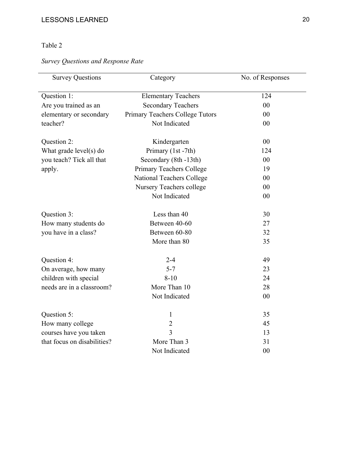# Table 2

# *Survey Questions and Response Rate*

| <b>Survey Questions</b>     | Category                         | No. of Responses |
|-----------------------------|----------------------------------|------------------|
| Question 1:                 | <b>Elementary Teachers</b>       | 124              |
| Are you trained as an       | <b>Secondary Teachers</b>        | 00               |
| elementary or secondary     | Primary Teachers College Tutors  | 00               |
| teacher?                    | Not Indicated                    | 00               |
| Question 2:                 | Kindergarten                     | 00               |
| What grade $level(s)$ do    | Primary (1st -7th)               | 124              |
| you teach? Tick all that    | Secondary (8th -13th)            | 00               |
| apply.                      | Primary Teachers College         | 19               |
|                             | <b>National Teachers College</b> | 00               |
|                             | Nursery Teachers college         | 00               |
|                             | Not Indicated                    | 00               |
| Question 3:                 | Less than 40                     | 30               |
| How many students do        | Between 40-60                    | 27               |
| you have in a class?        | Between 60-80                    | 32               |
|                             | More than 80                     | 35               |
| Question 4:                 | $2 - 4$                          | 49               |
| On average, how many        | $5 - 7$                          | 23               |
| children with special       | $8 - 10$                         | 24               |
| needs are in a classroom?   | More Than 10                     | 28               |
|                             | Not Indicated                    | 00               |
| Question 5:                 | $\mathbf{1}$                     | 35               |
| How many college            | $\overline{2}$                   | 45               |
| courses have you taken      | 3                                | 13               |
| that focus on disabilities? | More Than 3                      | 31               |
|                             | Not Indicated                    | 00               |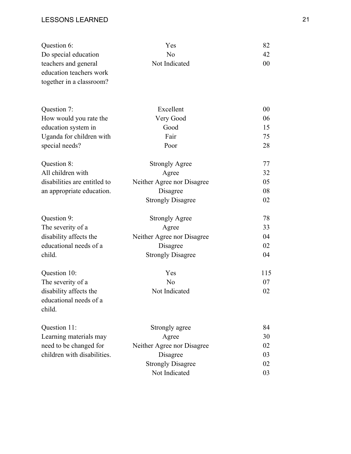| Question 6:                                                                 | Yes                        | 82     |
|-----------------------------------------------------------------------------|----------------------------|--------|
| Do special education                                                        | N <sub>o</sub>             | 42     |
| teachers and general<br>education teachers work<br>together in a classroom? | Not Indicated              | 00     |
|                                                                             |                            |        |
| Question 7:                                                                 | Excellent                  | $00\,$ |
| How would you rate the                                                      | Very Good                  | 06     |
| education system in                                                         | Good                       | 15     |
| Uganda for children with                                                    | Fair                       | 75     |
| special needs?                                                              | Poor                       | 28     |
| Question 8:                                                                 | <b>Strongly Agree</b>      | 77     |
| All children with                                                           | Agree                      | 32     |
| disabilities are entitled to                                                | Neither Agree nor Disagree | 05     |
| an appropriate education.                                                   | Disagree                   | 08     |
|                                                                             | <b>Strongly Disagree</b>   | 02     |
| Question 9:                                                                 | <b>Strongly Agree</b>      | 78     |
| The severity of a                                                           | Agree                      | 33     |
| disability affects the                                                      | Neither Agree nor Disagree | 04     |
| educational needs of a                                                      | Disagree                   | 02     |
| child.                                                                      | <b>Strongly Disagree</b>   | 04     |
| Question 10:                                                                | Yes                        | 115    |
| The severity of a                                                           | N <sub>o</sub>             | 07     |
| disability affects the                                                      | Not Indicated              | 02     |
| educational needs of a<br>child.                                            |                            |        |
| Question 11:                                                                | Strongly agree             | 84     |
| Learning materials may                                                      | Agree                      | 30     |
| need to be changed for                                                      | Neither Agree nor Disagree | 02     |
| children with disabilities.                                                 | Disagree                   | 03     |
|                                                                             | <b>Strongly Disagree</b>   | 02     |
|                                                                             | Not Indicated              | 03     |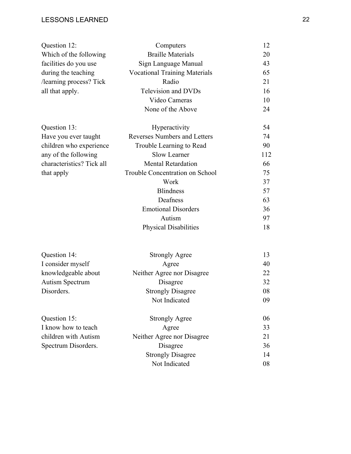| Question 12:              | Computers                            | 12  |
|---------------------------|--------------------------------------|-----|
| Which of the following    | <b>Braille Materials</b>             | 20  |
| facilities do you use     | Sign Language Manual                 | 43  |
| during the teaching       | <b>Vocational Training Materials</b> | 65  |
| /learning process? Tick   | Radio                                | 21  |
| all that apply.           | <b>Television and DVDs</b>           | 16  |
|                           | Video Cameras                        | 10  |
|                           | None of the Above                    | 24  |
| Question 13:              | Hyperactivity                        | 54  |
| Have you ever taught      | <b>Reverses Numbers and Letters</b>  | 74  |
| children who experience   | Trouble Learning to Read             | 90  |
| any of the following      | <b>Slow Learner</b>                  | 112 |
| characteristics? Tick all | <b>Mental Retardation</b>            | 66  |
| that apply                | Trouble Concentration on School      | 75  |
|                           | Work                                 | 37  |
|                           | <b>Blindness</b>                     | 57  |
|                           | Deafness                             | 63  |
|                           | <b>Emotional Disorders</b>           | 36  |
|                           | Autism                               | 97  |
|                           | <b>Physical Disabilities</b>         | 18  |
| Question 14:              | <b>Strongly Agree</b>                | 13  |
| I consider myself         | Agree                                | 40  |
| knowledgeable about       | Neither Agree nor Disagree           | 22  |
| <b>Autism Spectrum</b>    | Disagree                             | 32  |
| Disorders.                | <b>Strongly Disagree</b>             | 08  |
|                           | Not Indicated                        | 09  |
| Question 15:              | <b>Strongly Agree</b>                | 06  |
| I know how to teach       | Agree                                | 33  |
| children with Autism      | Neither Agree nor Disagree           | 21  |
| Spectrum Disorders.       | Disagree                             | 36  |
|                           | <b>Strongly Disagree</b>             | 14  |
|                           | Not Indicated                        | 08  |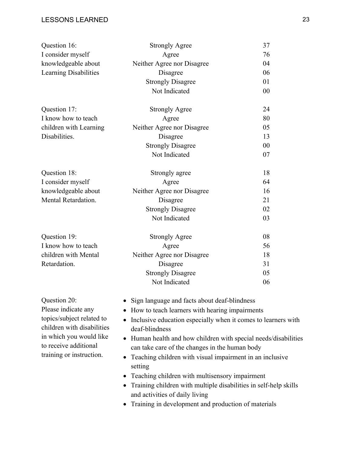| Question 16:                                            | <b>Strongly Agree</b>                                                                                                                                                                              | 37 |  |  |
|---------------------------------------------------------|----------------------------------------------------------------------------------------------------------------------------------------------------------------------------------------------------|----|--|--|
| I consider myself                                       | Agree                                                                                                                                                                                              | 76 |  |  |
| knowledgeable about                                     | Neither Agree nor Disagree                                                                                                                                                                         | 04 |  |  |
| Learning Disabilities                                   | Disagree                                                                                                                                                                                           | 06 |  |  |
|                                                         | <b>Strongly Disagree</b>                                                                                                                                                                           | 01 |  |  |
|                                                         | Not Indicated                                                                                                                                                                                      | 00 |  |  |
| Question 17:                                            | <b>Strongly Agree</b>                                                                                                                                                                              | 24 |  |  |
| I know how to teach                                     | Agree                                                                                                                                                                                              | 80 |  |  |
| children with Learning                                  | Neither Agree nor Disagree                                                                                                                                                                         | 05 |  |  |
| Disabilities.                                           | Disagree                                                                                                                                                                                           | 13 |  |  |
|                                                         | <b>Strongly Disagree</b>                                                                                                                                                                           | 00 |  |  |
|                                                         | Not Indicated                                                                                                                                                                                      | 07 |  |  |
| Question 18:                                            | Strongly agree                                                                                                                                                                                     | 18 |  |  |
| I consider myself                                       | Agree                                                                                                                                                                                              | 64 |  |  |
| knowledgeable about                                     | Neither Agree nor Disagree                                                                                                                                                                         | 16 |  |  |
| Mental Retardation.                                     | Disagree                                                                                                                                                                                           | 21 |  |  |
|                                                         | <b>Strongly Disagree</b>                                                                                                                                                                           | 02 |  |  |
|                                                         | Not Indicated                                                                                                                                                                                      | 03 |  |  |
| Question 19:                                            | <b>Strongly Agree</b>                                                                                                                                                                              | 08 |  |  |
| I know how to teach                                     | Agree                                                                                                                                                                                              | 56 |  |  |
| children with Mental                                    | Neither Agree nor Disagree                                                                                                                                                                         | 18 |  |  |
| Retardation.                                            | Disagree                                                                                                                                                                                           | 31 |  |  |
|                                                         | <b>Strongly Disagree</b>                                                                                                                                                                           | 05 |  |  |
|                                                         | Not Indicated                                                                                                                                                                                      | 06 |  |  |
| Question 20:                                            | Sign language and facts about deaf-blindness                                                                                                                                                       |    |  |  |
| Please indicate any                                     | How to teach learners with hearing impairments<br>Inclusive education especially when it comes to learners with<br>deaf-blindness<br>Human health and how children with special needs/disabilities |    |  |  |
| topics/subject related to<br>children with disabilities |                                                                                                                                                                                                    |    |  |  |
| in which you would like                                 |                                                                                                                                                                                                    |    |  |  |
| to receive additional                                   | can take care of the changes in the human body                                                                                                                                                     |    |  |  |
| training or instruction.                                | Teaching children with visual impairment in an inclusive                                                                                                                                           |    |  |  |
|                                                         | setting                                                                                                                                                                                            |    |  |  |
|                                                         | Teaching children with multisensory impairment                                                                                                                                                     |    |  |  |
|                                                         | Training children with multiple disabilities in self-help skills                                                                                                                                   |    |  |  |

- and activities of daily living
- Training in development and production of materials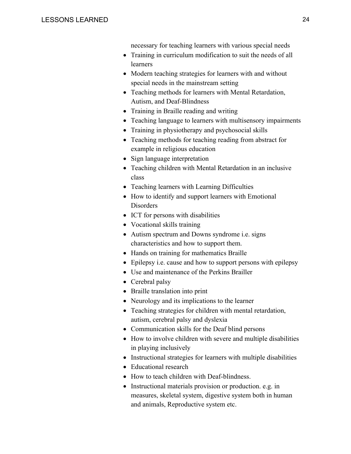necessary for teaching learners with various special needs

- Training in curriculum modification to suit the needs of all learners
- Modern teaching strategies for learners with and without special needs in the mainstream setting
- Teaching methods for learners with Mental Retardation, Autism, and Deaf-Blindness
- Training in Braille reading and writing
- Teaching language to learners with multisensory impairments
- Training in physiotherapy and psychosocial skills
- Teaching methods for teaching reading from abstract for example in religious education
- Sign language interpretation
- Teaching children with Mental Retardation in an inclusive class
- Teaching learners with Learning Difficulties
- How to identify and support learners with Emotional **Disorders**
- ICT for persons with disabilities
- Vocational skills training
- Autism spectrum and Downs syndrome i.e. signs characteristics and how to support them.
- Hands on training for mathematics Braille
- Epilepsy i.e. cause and how to support persons with epilepsy
- Use and maintenance of the Perkins Brailler
- Cerebral palsy
- Braille translation into print
- Neurology and its implications to the learner
- Teaching strategies for children with mental retardation, autism, cerebral palsy and dyslexia
- Communication skills for the Deaf blind persons
- How to involve children with severe and multiple disabilities in playing inclusively
- Instructional strategies for learners with multiple disabilities
- Educational research
- How to teach children with Deaf-blindness.
- Instructional materials provision or production. e.g. in measures, skeletal system, digestive system both in human and animals, Reproductive system etc.